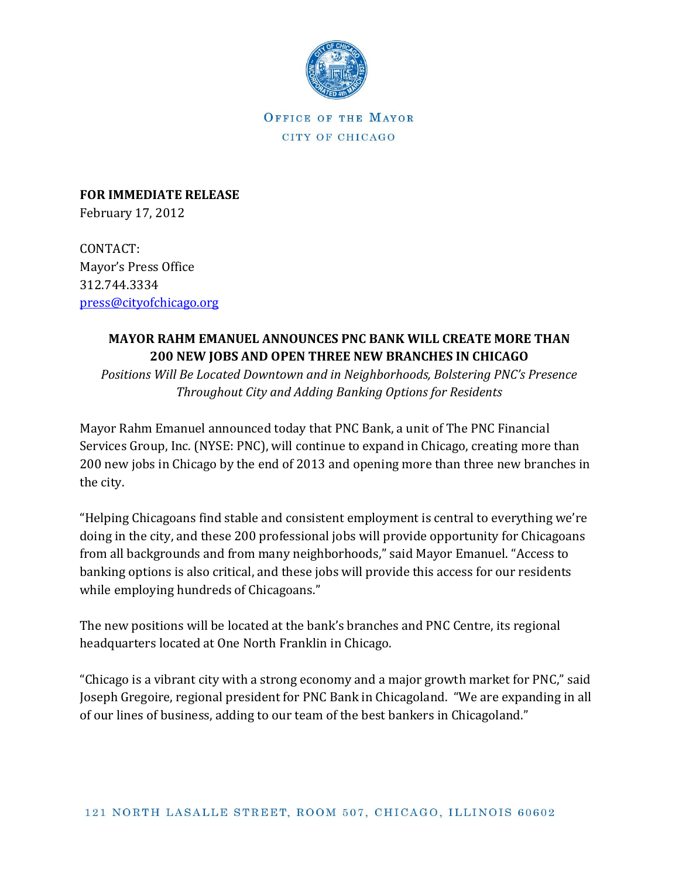

OFFICE OF THE MAYOR CITY OF CHICAGO

**FOR IMMEDIATE RELEASE** February 17, 2012

CONTACT: Mayor's Press Office 312.744.3334 [press@cityofchicago.org](mailto:press@cityofchicago.org)

## **MAYOR RAHM EMANUEL ANNOUNCES PNC BANK WILL CREATE MORE THAN 200 NEW JOBS AND OPEN THREE NEW BRANCHES IN CHICAGO**

*Positions Will Be Located Downtown and in Neighborhoods, Bolstering PNC's Presence Throughout City and Adding Banking Options for Residents*

Mayor Rahm Emanuel announced today that PNC Bank, a unit of The PNC Financial Services Group, Inc. (NYSE: PNC), will continue to expand in Chicago, creating more than 200 new jobs in Chicago by the end of 2013 and opening more than three new branches in the city.

"Helping Chicagoans find stable and consistent employment is central to everything we're doing in the city, and these 200 professional jobs will provide opportunity for Chicagoans from all backgrounds and from many neighborhoods," said Mayor Emanuel. "Access to banking options is also critical, and these jobs will provide this access for our residents while employing hundreds of Chicagoans."

The new positions will be located at the bank's branches and PNC Centre, its regional headquarters located at One North Franklin in Chicago.

"Chicago is a vibrant city with a strong economy and a major growth market for PNC," said Joseph Gregoire, regional president for PNC Bank in Chicagoland. "We are expanding in all of our lines of business, adding to our team of the best bankers in Chicagoland."